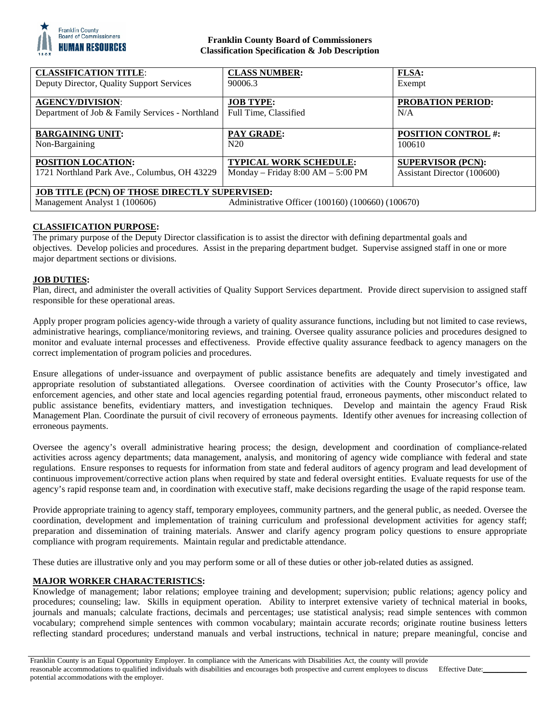

## **Franklin County Board of Commissioners Classification Specification & Job Description**

| <b>CLASSIFICATION TITLE:</b>                         | <b>CLASS NUMBER:</b>                              | <b>FLSA:</b>                |
|------------------------------------------------------|---------------------------------------------------|-----------------------------|
| Deputy Director, Quality Support Services            | 90006.3                                           | Exempt                      |
| <b>AGENCY/DIVISION:</b>                              | <b>JOB TYPE:</b>                                  | <b>PROBATION PERIOD:</b>    |
| Department of Job & Family Services - Northland      | Full Time, Classified                             | N/A                         |
|                                                      |                                                   |                             |
| <b>BARGAINING UNIT:</b>                              | <b>PAY GRADE:</b>                                 | <b>POSITION CONTROL #:</b>  |
| Non-Bargaining                                       | N <sub>20</sub>                                   | 100610                      |
| <b>POSITION LOCATION:</b>                            | <b>TYPICAL WORK SCHEDULE:</b>                     | <b>SUPERVISOR (PCN):</b>    |
| 1721 Northland Park Ave., Columbus, OH 43229         | Monday – Friday $8:00$ AM – $5:00$ PM             | Assistant Director (100600) |
|                                                      |                                                   |                             |
| <b>JOB TITLE (PCN) OF THOSE DIRECTLY SUPERVISED:</b> |                                                   |                             |
| Management Analyst 1 (100606)                        | Administrative Officer (100160) (100660) (100670) |                             |

# **CLASSIFICATION PURPOSE:**

The primary purpose of the Deputy Director classification is to assist the director with defining departmental goals and objectives. Develop policies and procedures. Assist in the preparing department budget. Supervise assigned staff in one or more major department sections or divisions.

### **JOB DUTIES:**

Plan, direct, and administer the overall activities of Quality Support Services department. Provide direct supervision to assigned staff responsible for these operational areas.

Apply proper program policies agency-wide through a variety of quality assurance functions, including but not limited to case reviews, administrative hearings, compliance/monitoring reviews, and training. Oversee quality assurance policies and procedures designed to monitor and evaluate internal processes and effectiveness. Provide effective quality assurance feedback to agency managers on the correct implementation of program policies and procedures.

Ensure allegations of under-issuance and overpayment of public assistance benefits are adequately and timely investigated and appropriate resolution of substantiated allegations. Oversee coordination of activities with the County Prosecutor's office, law enforcement agencies, and other state and local agencies regarding potential fraud, erroneous payments, other misconduct related to public assistance benefits, evidentiary matters, and investigation techniques. Develop and maintain the agency Fraud Risk Management Plan. Coordinate the pursuit of civil recovery of erroneous payments. Identify other avenues for increasing collection of erroneous payments.

Oversee the agency's overall administrative hearing process; the design, development and coordination of compliance-related activities across agency departments; data management, analysis, and monitoring of agency wide compliance with federal and state regulations. Ensure responses to requests for information from state and federal auditors of agency program and lead development of continuous improvement/corrective action plans when required by state and federal oversight entities. Evaluate requests for use of the agency's rapid response team and, in coordination with executive staff, make decisions regarding the usage of the rapid response team.

Provide appropriate training to agency staff, temporary employees, community partners, and the general public, as needed. Oversee the coordination, development and implementation of training curriculum and professional development activities for agency staff; preparation and dissemination of training materials. Answer and clarify agency program policy questions to ensure appropriate compliance with program requirements. Maintain regular and predictable attendance.

These duties are illustrative only and you may perform some or all of these duties or other job-related duties as assigned.

## **MAJOR WORKER CHARACTERISTICS:**

Knowledge of management; labor relations; employee training and development; supervision; public relations; agency policy and procedures; counseling; law. Skills in equipment operation. Ability to interpret extensive variety of technical material in books, journals and manuals; calculate fractions, decimals and percentages; use statistical analysis; read simple sentences with common vocabulary; comprehend simple sentences with common vocabulary; maintain accurate records; originate routine business letters reflecting standard procedures; understand manuals and verbal instructions, technical in nature; prepare meaningful, concise and